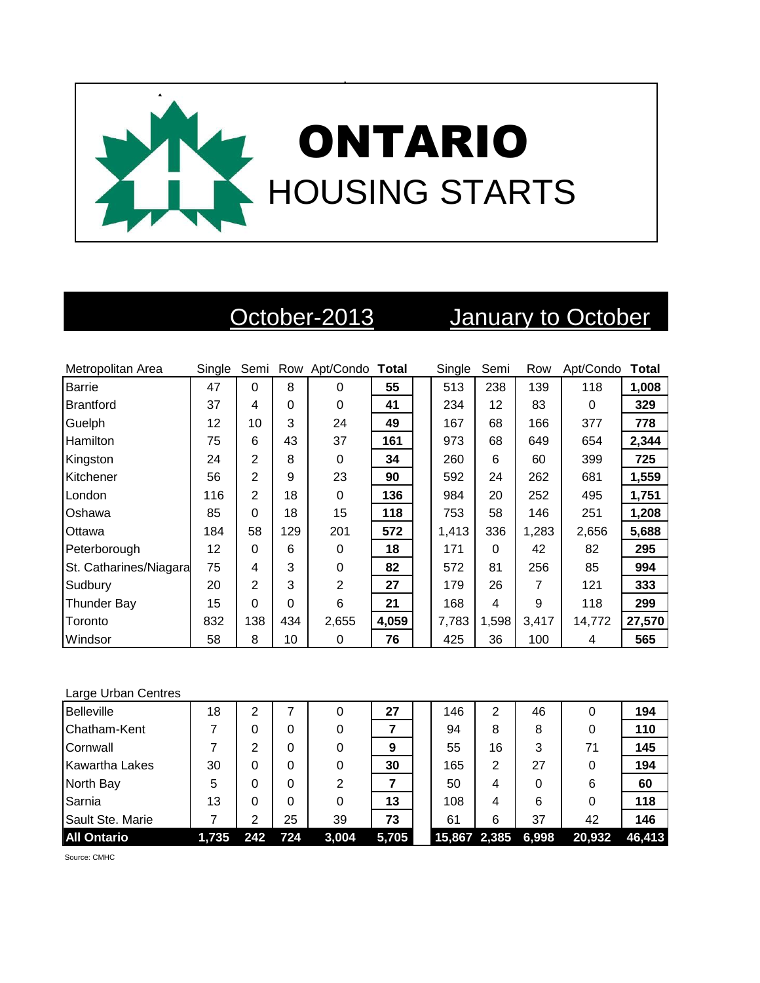

# October-2013 January to October

| Metropolitan Area      | Single |                |     | Semi Row Apt/Condo Total |       | Single | Semi     | Row   | Apt/Condo | Total  |
|------------------------|--------|----------------|-----|--------------------------|-------|--------|----------|-------|-----------|--------|
| Barrie                 | 47     | $\Omega$       | 8   | 0                        | 55    | 513    | 238      | 139   | 118       | 1,008  |
| <b>Brantford</b>       | 37     | 4              | 0   | 0                        | 41    | 234    | 12       | 83    | 0         | 329    |
| Guelph                 | 12     | 10             | 3   | 24                       | 49    | 167    | 68       | 166   | 377       | 778    |
| <b>Hamilton</b>        | 75     | 6              | 43  | 37                       | 161   | 973    | 68       | 649   | 654       | 2,344  |
| Kingston               | 24     | $\overline{2}$ | 8   | 0                        | 34    | 260    | 6        | 60    | 399       | 725    |
| Kitchener              | 56     | $\overline{2}$ | 9   | 23                       | 90    | 592    | 24       | 262   | 681       | 1,559  |
| London                 | 116    | 2              | 18  | 0                        | 136   | 984    | 20       | 252   | 495       | 1,751  |
| Oshawa                 | 85     | $\Omega$       | 18  | 15                       | 118   | 753    | 58       | 146   | 251       | 1,208  |
| Ottawa                 | 184    | 58             | 129 | 201                      | 572   | 1,413  | 336      | 1,283 | 2,656     | 5,688  |
| Peterborough           | 12     | $\Omega$       | 6   | 0                        | 18    | 171    | $\Omega$ | 42    | 82        | 295    |
| St. Catharines/Niagara | 75     | 4              | 3   | 0                        | 82    | 572    | 81       | 256   | 85        | 994    |
| Sudbury                | 20     | $\overline{2}$ | 3   | 2                        | 27    | 179    | 26       | 7     | 121       | 333    |
| <b>Thunder Bay</b>     | 15     | $\Omega$       | 0   | 6                        | 21    | 168    | 4        | 9     | 118       | 299    |
| Toronto                | 832    | 138            | 434 | 2,655                    | 4,059 | 7,783  | 1,598    | 3.417 | 14,772    | 27,570 |
| Windsor                | 58     | 8              | 10  | 0                        | 76    | 425    | 36       | 100   | 4         | 565    |

### Large Urban Centres

| <b>Belleville</b>     | 18    | 2   |     | 0     | 27    | 146          | 2  | 46    | 0      | 194    |
|-----------------------|-------|-----|-----|-------|-------|--------------|----|-------|--------|--------|
| Chatham-Kent          |       | 0   | 0   | 0     |       | 94           | 8  | 8     |        | 110    |
| Cornwall              |       | າ   | 0   | 0     | 9     | 55           | 16 | 3     | 71     | 145    |
| <b>Kawartha Lakes</b> | 30    | 0   | 0   | 0     | 30    | 165          | 2  | 27    |        | 194    |
| North Bay             | 5     | 0   | 0   | 2     |       | 50           | 4  | 0     | 6      | 60     |
| Sarnia                | 13    | 0   | 0   | 0     | 13    | 108          | 4  | 6     |        | 118    |
| Sault Ste. Marie      |       | っ   | 25  | 39    | 73    | 61           | 6  | 37    | 42     | 146    |
| <b>All Ontario</b>    | 1,735 | 242 | 724 | 3,004 | 5,705 | 15,867 2,385 |    | 6,998 | 20,932 | 46,413 |

Source: CMHC